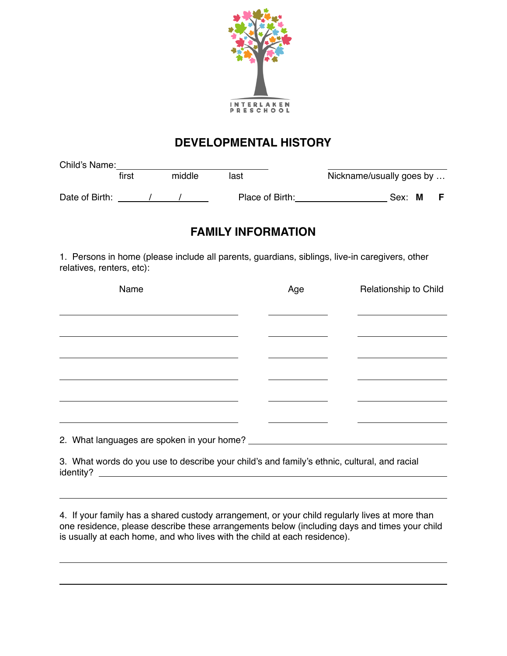

## **DEVELOPMENTAL HISTORY**

| Child's Name:  |       |        |                 |                          |        |  |
|----------------|-------|--------|-----------------|--------------------------|--------|--|
|                | first | middle | last            | Nickname/usually goes by |        |  |
| Date of Birth: |       |        | Place of Birth: |                          | Sex: M |  |

## **FAMILY INFORMATION**

1. Persons in home (please include all parents, guardians, siblings, live-in caregivers, other relatives, renters, etc):

| Name                                                                                                     | Age | Relationship to Child |
|----------------------------------------------------------------------------------------------------------|-----|-----------------------|
|                                                                                                          |     |                       |
|                                                                                                          |     |                       |
|                                                                                                          |     |                       |
|                                                                                                          |     |                       |
|                                                                                                          |     |                       |
|                                                                                                          |     |                       |
|                                                                                                          |     |                       |
|                                                                                                          |     |                       |
| 3. What words do you use to describe your child's and family's ethnic, cultural, and racial<br>identity? |     |                       |

4. If your family has a shared custody arrangement, or your child regularly lives at more than

one residence, please describe these arrangements below (including days and times your child is usually at each home, and who lives with the child at each residence).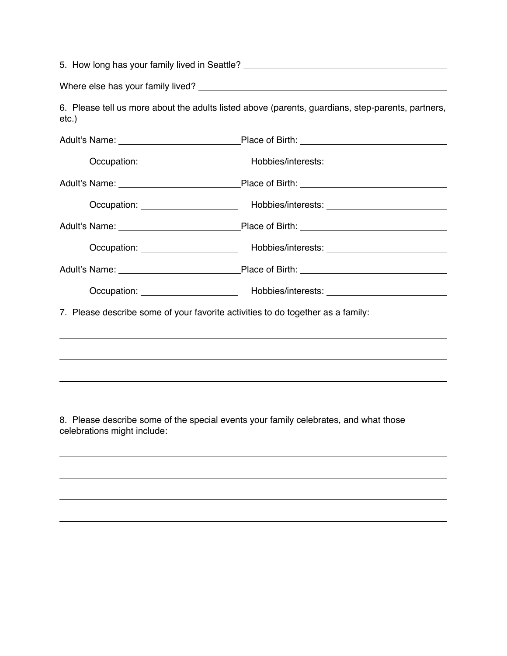| 5. How long has your family lived in Seattle? __________________________________ |                                                                                                   |  |  |  |
|----------------------------------------------------------------------------------|---------------------------------------------------------------------------------------------------|--|--|--|
|                                                                                  |                                                                                                   |  |  |  |
| $etc.$ )                                                                         | 6. Please tell us more about the adults listed above (parents, guardians, step-parents, partners, |  |  |  |
|                                                                                  |                                                                                                   |  |  |  |
|                                                                                  |                                                                                                   |  |  |  |
|                                                                                  |                                                                                                   |  |  |  |
|                                                                                  |                                                                                                   |  |  |  |
|                                                                                  |                                                                                                   |  |  |  |
|                                                                                  |                                                                                                   |  |  |  |
|                                                                                  |                                                                                                   |  |  |  |
|                                                                                  | Occupation: Nobles/interests: Nobles/interests:                                                   |  |  |  |
|                                                                                  | 7. Please describe some of your favorite activities to do together as a family:                   |  |  |  |
|                                                                                  |                                                                                                   |  |  |  |
|                                                                                  |                                                                                                   |  |  |  |
|                                                                                  |                                                                                                   |  |  |  |
| celebrations might include:                                                      | 8. Please describe some of the special events your family celebrates, and what those              |  |  |  |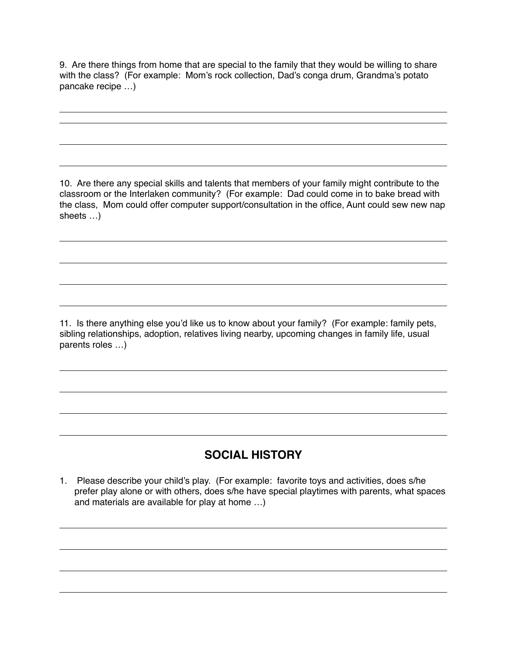9. Are there things from home that are special to the family that they would be willing to share with the class? (For example: Mom's rock collection, Dad's conga drum, Grandma's potato pancake recipe …)

10. Are there any special skills and talents that members of your family might contribute to the classroom or the Interlaken community? (For example: Dad could come in to bake bread with the class, Mom could offer computer support/consultation in the office, Aunt could sew new nap sheets …)

11. Is there anything else you'd like us to know about your family? (For example: family pets, sibling relationships, adoption, relatives living nearby, upcoming changes in family life, usual parents roles …)

## **SOCIAL HISTORY**

1. Please describe your child's play. (For example: favorite toys and activities, does s/he prefer play alone or with others, does s/he have special playtimes with parents, what spaces and materials are available for play at home …)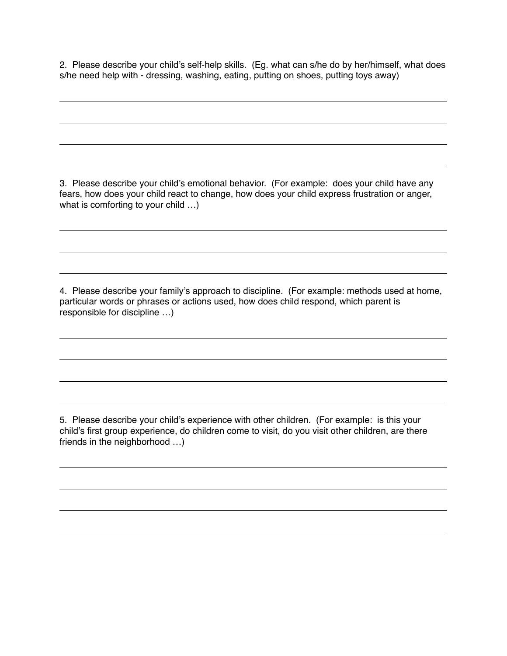2. Please describe your child's self-help skills. (Eg. what can s/he do by her/himself, what does s/he need help with - dressing, washing, eating, putting on shoes, putting toys away)

3. Please describe your child's emotional behavior. (For example: does your child have any fears, how does your child react to change, how does your child express frustration or anger, what is comforting to your child …)

4. Please describe your family's approach to discipline. (For example: methods used at home, particular words or phrases or actions used, how does child respond, which parent is responsible for discipline …)

5. Please describe your child's experience with other children. (For example: is this your child's first group experience, do children come to visit, do you visit other children, are there friends in the neighborhood …)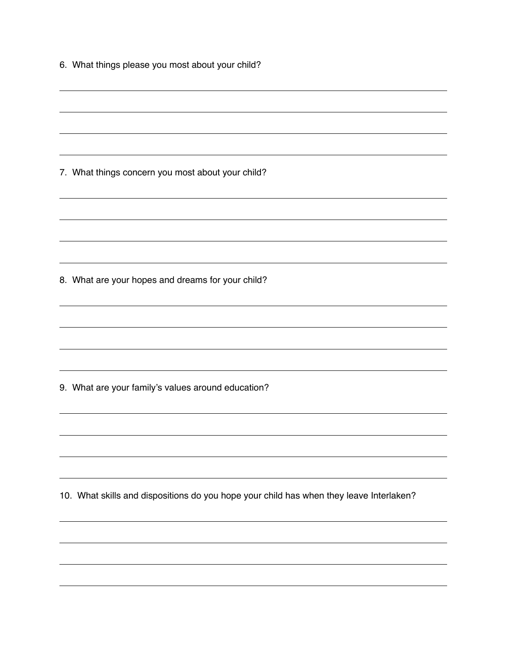| 6. What things please you most about your child?                                        |  |  |  |  |  |
|-----------------------------------------------------------------------------------------|--|--|--|--|--|
|                                                                                         |  |  |  |  |  |
|                                                                                         |  |  |  |  |  |
|                                                                                         |  |  |  |  |  |
| 7. What things concern you most about your child?                                       |  |  |  |  |  |
|                                                                                         |  |  |  |  |  |
|                                                                                         |  |  |  |  |  |
|                                                                                         |  |  |  |  |  |
| 8. What are your hopes and dreams for your child?                                       |  |  |  |  |  |
|                                                                                         |  |  |  |  |  |
|                                                                                         |  |  |  |  |  |
| 9. What are your family's values around education?                                      |  |  |  |  |  |
|                                                                                         |  |  |  |  |  |
|                                                                                         |  |  |  |  |  |
|                                                                                         |  |  |  |  |  |
| 10. What skills and dispositions do you hope your child has when they leave Interlaken? |  |  |  |  |  |
|                                                                                         |  |  |  |  |  |
|                                                                                         |  |  |  |  |  |
|                                                                                         |  |  |  |  |  |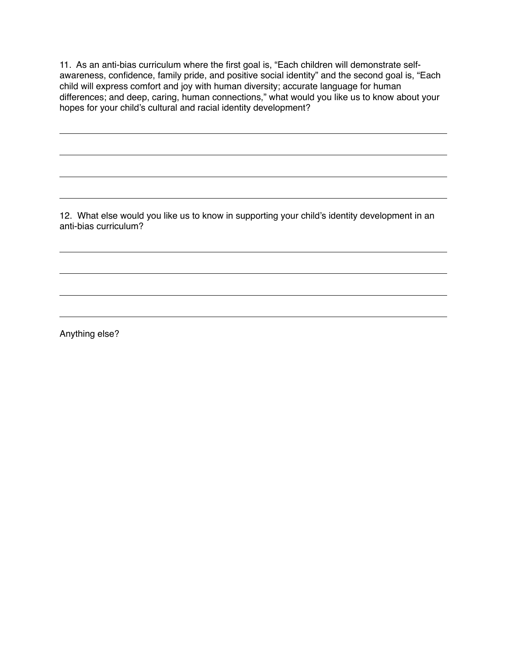11. As an anti-bias curriculum where the first goal is, "Each children will demonstrate selfawareness, confidence, family pride, and positive social identity" and the second goal is, "Each child will express comfort and joy with human diversity; accurate language for human differences; and deep, caring, human connections," what would you like us to know about your hopes for your child's cultural and racial identity development?

12. What else would you like us to know in supporting your child's identity development in an anti-bias curriculum?

Anything else?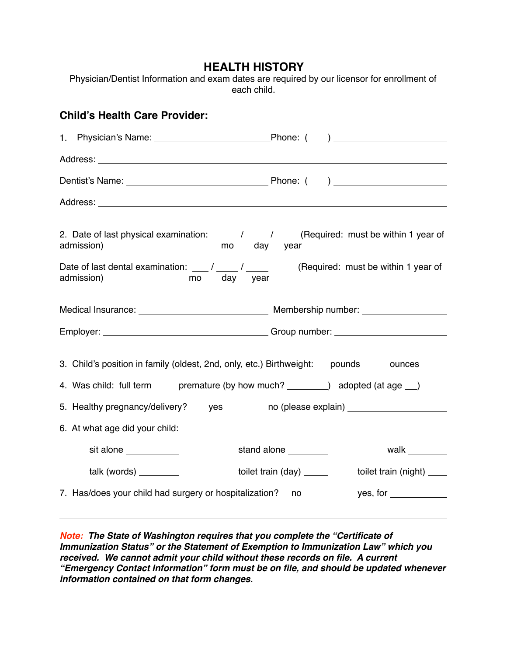## **HEALTH HISTORY**

Physician/Dentist Information and exam dates are required by our licensor for enrollment of each child.

| <b>Child's Health Care Provider:</b>                                                                                                                                 |                                                                                                                                                                                                                                                                                                                                                                                                         |                                                                                                             |  |  |  |  |
|----------------------------------------------------------------------------------------------------------------------------------------------------------------------|---------------------------------------------------------------------------------------------------------------------------------------------------------------------------------------------------------------------------------------------------------------------------------------------------------------------------------------------------------------------------------------------------------|-------------------------------------------------------------------------------------------------------------|--|--|--|--|
|                                                                                                                                                                      |                                                                                                                                                                                                                                                                                                                                                                                                         |                                                                                                             |  |  |  |  |
|                                                                                                                                                                      |                                                                                                                                                                                                                                                                                                                                                                                                         |                                                                                                             |  |  |  |  |
|                                                                                                                                                                      |                                                                                                                                                                                                                                                                                                                                                                                                         |                                                                                                             |  |  |  |  |
|                                                                                                                                                                      |                                                                                                                                                                                                                                                                                                                                                                                                         |                                                                                                             |  |  |  |  |
|                                                                                                                                                                      | admission)                                                                                                                                                                                                                                                                                                                                                                                              | 2. Date of last physical examination: _____/ ____/ _____ (Required: must be within 1 year of<br>mo day year |  |  |  |  |
|                                                                                                                                                                      | Date of last dental examination: $\frac{1}{\sqrt{2}}$ / $\frac{1}{\sqrt{2}}$ (Required: must be within 1 year of<br>admission)<br>mo day year                                                                                                                                                                                                                                                           |                                                                                                             |  |  |  |  |
|                                                                                                                                                                      |                                                                                                                                                                                                                                                                                                                                                                                                         |                                                                                                             |  |  |  |  |
|                                                                                                                                                                      |                                                                                                                                                                                                                                                                                                                                                                                                         |                                                                                                             |  |  |  |  |
| 3. Child's position in family (oldest, 2nd, only, etc.) Birthweight: pounds counces<br>4. Was child: full term premature (by how much? ________) adopted (at age __) |                                                                                                                                                                                                                                                                                                                                                                                                         |                                                                                                             |  |  |  |  |
|                                                                                                                                                                      | 5. Healthy pregnancy/delivery? yes                                                                                                                                                                                                                                                                                                                                                                      |                                                                                                             |  |  |  |  |
|                                                                                                                                                                      | 6. At what age did your child:                                                                                                                                                                                                                                                                                                                                                                          |                                                                                                             |  |  |  |  |
|                                                                                                                                                                      | sit alone ___________                                                                                                                                                                                                                                                                                                                                                                                   | walk ________<br>stand alone ________                                                                       |  |  |  |  |
|                                                                                                                                                                      | talk (words) $\frac{1}{\sqrt{1-\frac{1}{2}}\sqrt{1-\frac{1}{2}}\sqrt{1-\frac{1}{2}}\sqrt{1-\frac{1}{2}}\sqrt{1-\frac{1}{2}}\sqrt{1-\frac{1}{2}}\sqrt{1-\frac{1}{2}}\sqrt{1-\frac{1}{2}}\sqrt{1-\frac{1}{2}}\sqrt{1-\frac{1}{2}}\sqrt{1-\frac{1}{2}}\sqrt{1-\frac{1}{2}}\sqrt{1-\frac{1}{2}}\sqrt{1-\frac{1}{2}}\sqrt{1-\frac{1}{2}}\sqrt{1-\frac{1}{2}}\sqrt{1-\frac{1}{2}}\sqrt{1-\frac{1}{2}}\sqrt{1$ | toilet train (day) ______<br>toilet train (night) _____                                                     |  |  |  |  |
|                                                                                                                                                                      | 7. Has/does your child had surgery or hospitalization?                                                                                                                                                                                                                                                                                                                                                  | yes, for<br>no.                                                                                             |  |  |  |  |
|                                                                                                                                                                      |                                                                                                                                                                                                                                                                                                                                                                                                         |                                                                                                             |  |  |  |  |

*Note: The State of Washington requires that you complete the "Certificate of Immunization Status" or the Statement of Exemption to Immunization Law" which you received. We cannot admit your child without these records on file. A current "Emergency Contact Information" form must be on file, and should be updated whenever information contained on that form changes.*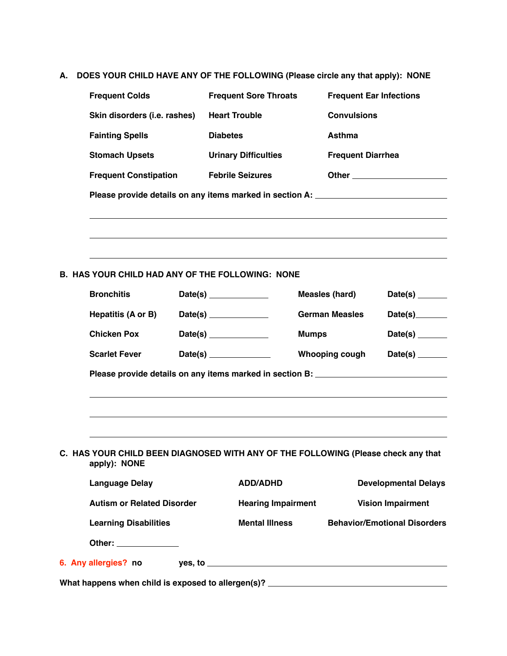**A. DOES YOUR CHILD HAVE ANY OF THE FOLLOWING (Please circle any that apply): NONE**

|                                                                                  | <b>Frequent Colds</b>                                                                             |                       | <b>Frequent Sore Throats</b>                                                     |                       | <b>Frequent Ear Infections</b>                                                   |  |  |
|----------------------------------------------------------------------------------|---------------------------------------------------------------------------------------------------|-----------------------|----------------------------------------------------------------------------------|-----------------------|----------------------------------------------------------------------------------|--|--|
|                                                                                  | Skin disorders (i.e. rashes)                                                                      |                       | <b>Heart Trouble</b>                                                             |                       | <b>Convulsions</b>                                                               |  |  |
|                                                                                  | <b>Fainting Spells</b>                                                                            |                       | <b>Diabetes</b>                                                                  | <b>Asthma</b>         |                                                                                  |  |  |
|                                                                                  | <b>Stomach Upsets</b>                                                                             |                       | <b>Urinary Difficulties</b>                                                      |                       | <b>Frequent Diarrhea</b>                                                         |  |  |
|                                                                                  | <b>Frequent Constipation</b>                                                                      |                       | <b>Febrile Seizures</b>                                                          |                       | Other _________________________                                                  |  |  |
|                                                                                  |                                                                                                   |                       | Please provide details on any items marked in section A: _______________________ |                       |                                                                                  |  |  |
|                                                                                  |                                                                                                   |                       |                                                                                  |                       | ,我们也不会有什么。""我们的人,我们也不会有什么?""我们的人,我们也不会有什么?""我们的人,我们也不会有什么?""我们的人,我们也不会有什么?""我们的人 |  |  |
|                                                                                  |                                                                                                   |                       |                                                                                  |                       |                                                                                  |  |  |
|                                                                                  |                                                                                                   |                       |                                                                                  |                       | ,我们也不会有什么。""我们的人,我们也不会有什么?""我们的人,我们也不会有什么?""我们的人,我们也不会有什么?""我们的人,我们也不会有什么?""我们的人 |  |  |
|                                                                                  | <b>B. HAS YOUR CHILD HAD ANY OF THE FOLLOWING: NONE</b>                                           |                       |                                                                                  |                       |                                                                                  |  |  |
|                                                                                  | <b>Bronchitis</b>                                                                                 |                       |                                                                                  | <b>Measles (hard)</b> | Date(s) $\_\_$                                                                   |  |  |
|                                                                                  | Hepatitis (A or B)                                                                                | Date(s) $\frac{1}{2}$ |                                                                                  | <b>German Measles</b> | Date(s)                                                                          |  |  |
|                                                                                  | <b>Chicken Pox</b>                                                                                | Date(s) $\frac{1}{2}$ |                                                                                  | <b>Mumps</b>          | Date(s) $\_\_\_\_\_\_\_\_\_\_\_$                                                 |  |  |
|                                                                                  | <b>Scarlet Fever</b>                                                                              |                       |                                                                                  | <b>Whooping cough</b> | Date(s) $\_\_$                                                                   |  |  |
| Please provide details on any items marked in section B: _______________________ |                                                                                                   |                       |                                                                                  |                       |                                                                                  |  |  |
|                                                                                  |                                                                                                   |                       |                                                                                  |                       | ,我们也不会有什么。""我们的人,我们也不会有什么?""我们的人,我们也不会有什么?""我们的人,我们也不会有什么?""我们的人,我们也不会有什么?""我们的人 |  |  |
|                                                                                  |                                                                                                   |                       | ,我们也不会有什么。""我们的人,我们也不会有什么?""我们的人,我们也不会有什么?""我们的人,我们也不会有什么?""我们的人,我们也不会有什么?""我们的人 |                       |                                                                                  |  |  |
|                                                                                  |                                                                                                   |                       |                                                                                  |                       |                                                                                  |  |  |
|                                                                                  | C. HAS YOUR CHILD BEEN DIAGNOSED WITH ANY OF THE FOLLOWING (Please check any that<br>apply): NONE |                       |                                                                                  |                       |                                                                                  |  |  |
|                                                                                  | <b>Language Delay</b>                                                                             |                       | <b>ADD/ADHD</b>                                                                  |                       | <b>Developmental Delays</b>                                                      |  |  |
|                                                                                  | <b>Autism or Related Disorder</b>                                                                 |                       | <b>Hearing Impairment</b>                                                        |                       | <b>Vision Impairment</b>                                                         |  |  |
|                                                                                  | <b>Learning Disabilities</b>                                                                      |                       | <b>Mental Illness</b>                                                            |                       | <b>Behavior/Emotional Disorders</b>                                              |  |  |
|                                                                                  | Other: _____________                                                                              |                       |                                                                                  |                       |                                                                                  |  |  |
|                                                                                  |                                                                                                   |                       |                                                                                  |                       |                                                                                  |  |  |

**What happens when child is exposed to allergen(s)?**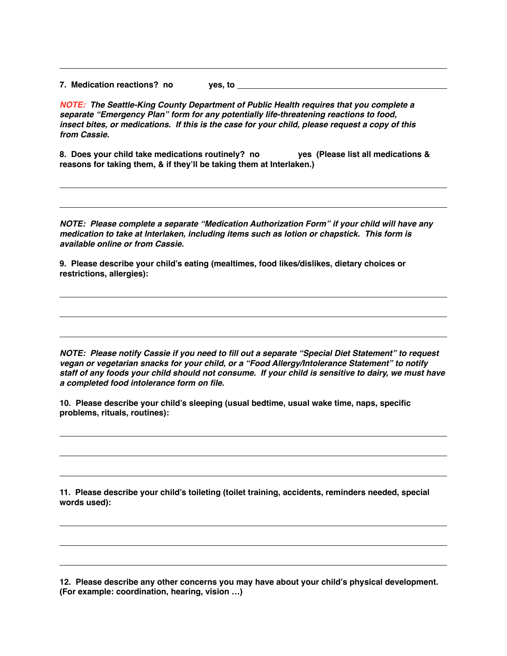**7. Medication reactions? no yes, to** 

*NOTE: The Seattle-King County Department of Public Health requires that you complete a separate "Emergency Plan" form for any potentially life-threatening reactions to food, insect bites, or medications. If this is the case for your child, please request a copy of this from Cassie.* 

**8. Does your child take medications routinely? no yes (Please list all medications & reasons for taking them, & if they'll be taking them at Interlaken.)** 

*NOTE: Please complete a separate "Medication Authorization Form" if your child will have any medication to take at Interlaken, including items such as lotion or chapstick. This form is available online or from Cassie.* 

**9. Please describe your child's eating (mealtimes, food likes/dislikes, dietary choices or restrictions, allergies):**

*NOTE: Please notify Cassie if you need to fill out a separate "Special Diet Statement" to request vegan or vegetarian snacks for your child, or a "Food Allergy/Intolerance Statement" to notify staff of any foods your child should not consume. If your child is sensitive to dairy, we must have a completed food intolerance form on file.* 

**10. Please describe your child's sleeping (usual bedtime, usual wake time, naps, specific problems, rituals, routines):** 

**11. Please describe your child's toileting (toilet training, accidents, reminders needed, special words used):** 

**12. Please describe any other concerns you may have about your child's physical development. (For example: coordination, hearing, vision …)**